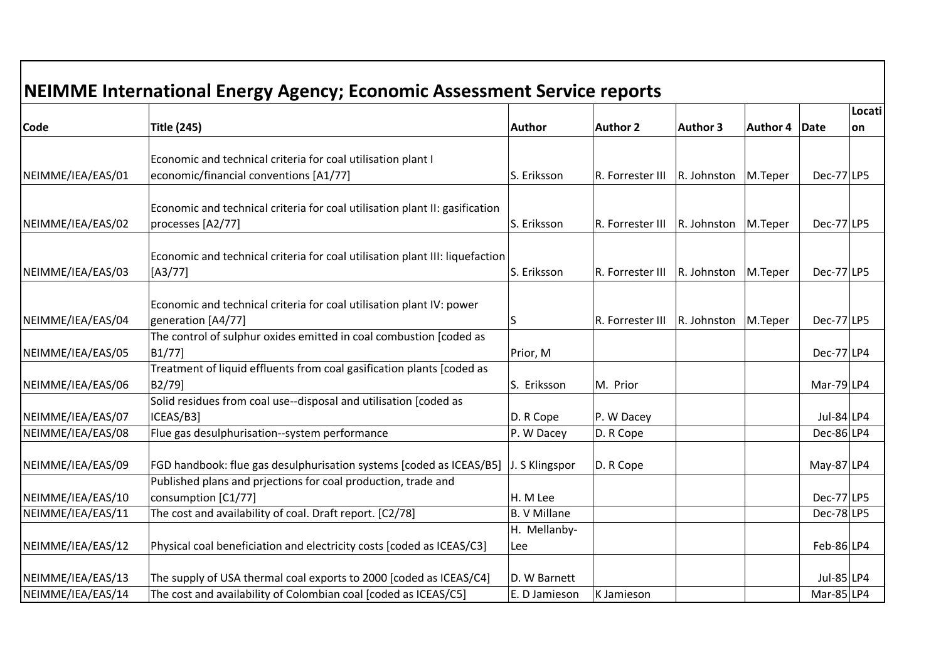|                   | NEIMME International Energy Agency; Economic Assessment Service reports      |                     |                  |                 |          |               |        |
|-------------------|------------------------------------------------------------------------------|---------------------|------------------|-----------------|----------|---------------|--------|
|                   |                                                                              |                     |                  |                 |          |               | Locati |
| <b>Code</b>       | <b>Title (245)</b>                                                           | <b>Author</b>       | <b>Author 2</b>  | <b>Author 3</b> | Author 4 | Date          | on     |
|                   | Economic and technical criteria for coal utilisation plant I                 |                     |                  |                 |          |               |        |
|                   |                                                                              |                     |                  |                 |          |               |        |
| NEIMME/IEA/EAS/01 | economic/financial conventions [A1/77]                                       | S. Eriksson         | R. Forrester III | R. Johnston     | M.Teper  | $Dec-77 LP5$  |        |
|                   |                                                                              |                     |                  |                 |          |               |        |
|                   | Economic and technical criteria for coal utilisation plant II: gasification  |                     |                  |                 |          |               |        |
| NEIMME/IEA/EAS/02 | processes [A2/77]                                                            | S. Eriksson         | R. Forrester III | R. Johnston     | M.Teper  | Dec-77 LP5    |        |
|                   | Economic and technical criteria for coal utilisation plant III: liquefaction |                     |                  |                 |          |               |        |
|                   |                                                                              |                     |                  |                 |          |               |        |
| NEIMME/IEA/EAS/03 | $[A3/77]$                                                                    | S. Eriksson         | R. Forrester III | R. Johnston     | M.Teper  | Dec-77 LP5    |        |
|                   |                                                                              |                     |                  |                 |          |               |        |
|                   | Economic and technical criteria for coal utilisation plant IV: power         |                     |                  |                 |          |               |        |
| NEIMME/IEA/EAS/04 | generation [A4/77]                                                           | S                   | R. Forrester III | R. Johnston     | M.Teper  | $Dec-77 LP5$  |        |
|                   | The control of sulphur oxides emitted in coal combustion [coded as           |                     |                  |                 |          |               |        |
| NEIMME/IEA/EAS/05 | B1/77]                                                                       | Prior, M            |                  |                 |          | Dec-77 LP4    |        |
|                   | Treatment of liquid effluents from coal gasification plants [coded as        |                     |                  |                 |          |               |        |
| NEIMME/IEA/EAS/06 | B2/79]                                                                       | S. Eriksson         | M. Prior         |                 |          | Mar-79 $ LP4$ |        |
|                   | Solid residues from coal use--disposal and utilisation [coded as             |                     |                  |                 |          |               |        |
| NEIMME/IEA/EAS/07 | ICEAS/B3]                                                                    | D. R Cope           | P. W Dacey       |                 |          | Jul-84 $LP4$  |        |
| NEIMME/IEA/EAS/08 | Flue gas desulphurisation--system performance                                | P. W Dacey          | D. R Cope        |                 |          | $Dec-86 LP4$  |        |
|                   |                                                                              |                     |                  |                 |          |               |        |
| NEIMME/IEA/EAS/09 | FGD handbook: flue gas desulphurisation systems [coded as ICEAS/B5]          | J. S Klingspor      | D. R Cope        |                 |          | May-87 $ LP4$ |        |
|                   | Published plans and priections for coal production, trade and                |                     |                  |                 |          |               |        |
| NEIMME/IEA/EAS/10 | consumption [C1/77]                                                          | H. M Lee            |                  |                 |          | Dec-77 LP5    |        |
| NEIMME/IEA/EAS/11 | The cost and availability of coal. Draft report. [C2/78]                     | <b>B. V Millane</b> |                  |                 |          | Dec-78 LP5    |        |
|                   |                                                                              | H. Mellanby-        |                  |                 |          |               |        |
| NEIMME/IEA/EAS/12 | Physical coal beneficiation and electricity costs [coded as ICEAS/C3]        | Lee                 |                  |                 |          | $Feb-86 LP4$  |        |
|                   |                                                                              |                     |                  |                 |          |               |        |
| NEIMME/IEA/EAS/13 | The supply of USA thermal coal exports to 2000 [coded as ICEAS/C4]           | D. W Barnett        |                  |                 |          | Jul-85 $ LP4$ |        |
| NEIMME/IEA/EAS/14 | The cost and availability of Colombian coal [coded as ICEAS/C5]              | E. D Jamieson       | K Jamieson       |                 |          | Mar-85 $ LP4$ |        |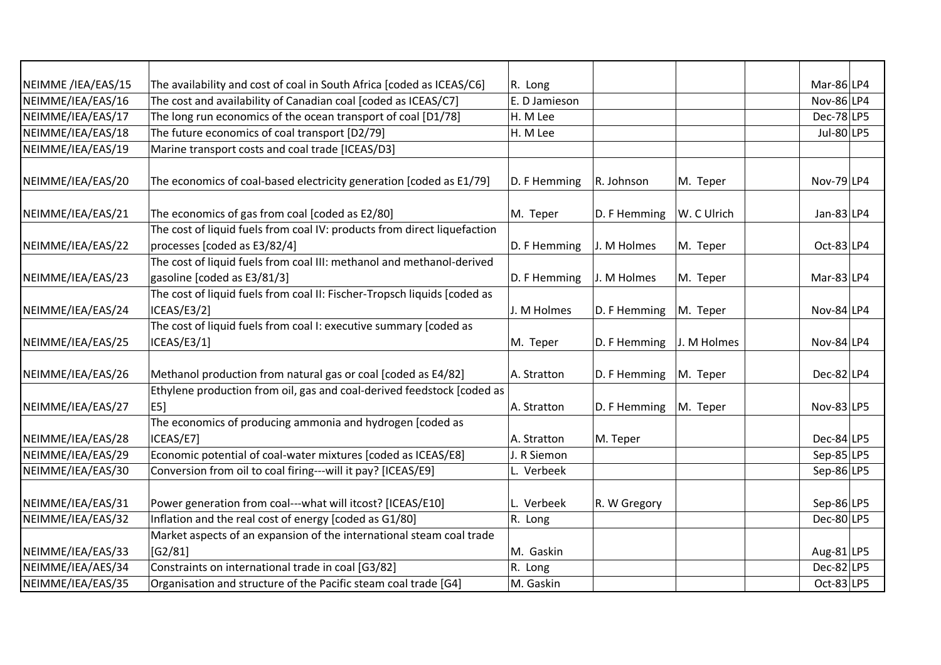| NEIMME /IEA/EAS/15 | The availability and cost of coal in South Africa [coded as ICEAS/C6]    | R. Long       |              |             | $Mar-86 LP4$   |
|--------------------|--------------------------------------------------------------------------|---------------|--------------|-------------|----------------|
| NEIMME/IEA/EAS/16  | The cost and availability of Canadian coal [coded as ICEAS/C7]           | E. D Jamieson |              |             | Nov-86 $ LP4$  |
| NEIMME/IEA/EAS/17  | The long run economics of the ocean transport of coal [D1/78]            | H. M Lee      |              |             | $Dec-78$ LP5   |
| NEIMME/IEA/EAS/18  | The future economics of coal transport [D2/79]                           | H. M Lee      |              |             | Jul-80 $ LP5 $ |
| NEIMME/IEA/EAS/19  | Marine transport costs and coal trade [ICEAS/D3]                         |               |              |             |                |
|                    |                                                                          |               |              |             |                |
| NEIMME/IEA/EAS/20  | The economics of coal-based electricity generation [coded as E1/79]      | D. F Hemming  | R. Johnson   | M. Teper    | Nov-79 LP4     |
| NEIMME/IEA/EAS/21  | The economics of gas from coal [coded as E2/80]                          | M. Teper      | D. F Hemming | W. C Ulrich | Jan-83 $ LP4$  |
|                    | The cost of liquid fuels from coal IV: products from direct liquefaction |               |              |             |                |
| NEIMME/IEA/EAS/22  | processes [coded as E3/82/4]                                             | D. F Hemming  | J. M Holmes  | M. Teper    | $Oct-83 LP4$   |
|                    | The cost of liquid fuels from coal III: methanol and methanol-derived    |               |              |             |                |
| NEIMME/IEA/EAS/23  | gasoline [coded as E3/81/3]                                              | D. F Hemming  | J. M Holmes  | M. Teper    | $Mar-83 LP4$   |
|                    | The cost of liquid fuels from coal II: Fischer-Tropsch liquids [coded as |               |              |             |                |
| NEIMME/IEA/EAS/24  | ICEAS/E3/2]                                                              | J. M Holmes   | D. F Hemming | M. Teper    | Nov-84 $LP4$   |
|                    | The cost of liquid fuels from coal I: executive summary [coded as        |               |              |             |                |
| NEIMME/IEA/EAS/25  | ICEAS/E3/1]                                                              | M. Teper      | D. F Hemming | J. M Holmes | Nov-84 $LP4$   |
|                    |                                                                          |               |              |             |                |
| NEIMME/IEA/EAS/26  | Methanol production from natural gas or coal [coded as E4/82]            | A. Stratton   | D. F Hemming | M. Teper    | $Dec-82 LP4$   |
|                    | Ethylene production from oil, gas and coal-derived feedstock [coded as   |               |              |             |                |
| NEIMME/IEA/EAS/27  | <b>E51</b>                                                               | A. Stratton   | D. F Hemming | M. Teper    | Nov-83 $LP5$   |
|                    | The economics of producing ammonia and hydrogen [coded as                |               |              |             |                |
| NEIMME/IEA/EAS/28  | ICEAS/E7]                                                                | A. Stratton   | M. Teper     |             | $Dec-84 LP5$   |
| NEIMME/IEA/EAS/29  | Economic potential of coal-water mixtures [coded as ICEAS/E8]            | J. R Siemon   |              |             | $Sep-85 LP5$   |
| NEIMME/IEA/EAS/30  | Conversion from oil to coal firing---will it pay? [ICEAS/E9]             | L. Verbeek    |              |             | $Sep-86 LP5$   |
| NEIMME/IEA/EAS/31  | Power generation from coal---what will itcost? [ICEAS/E10]               | L. Verbeek    | R. W Gregory |             | Sep-86 $LP5$   |
| NEIMME/IEA/EAS/32  | Inflation and the real cost of energy [coded as G1/80]                   | R. Long       |              |             | $Dec-80$ LP5   |
|                    | Market aspects of an expansion of the international steam coal trade     |               |              |             |                |
| NEIMME/IEA/EAS/33  | [G2/81]                                                                  | M. Gaskin     |              |             | Aug-81 $ LP5$  |
| NEIMME/IEA/AES/34  | Constraints on international trade in coal [G3/82]                       | R. Long       |              |             | $Dec-82$  LP5  |
| NEIMME/IEA/EAS/35  | Organisation and structure of the Pacific steam coal trade [G4]          | M. Gaskin     |              |             | $Oct-83 LP5$   |